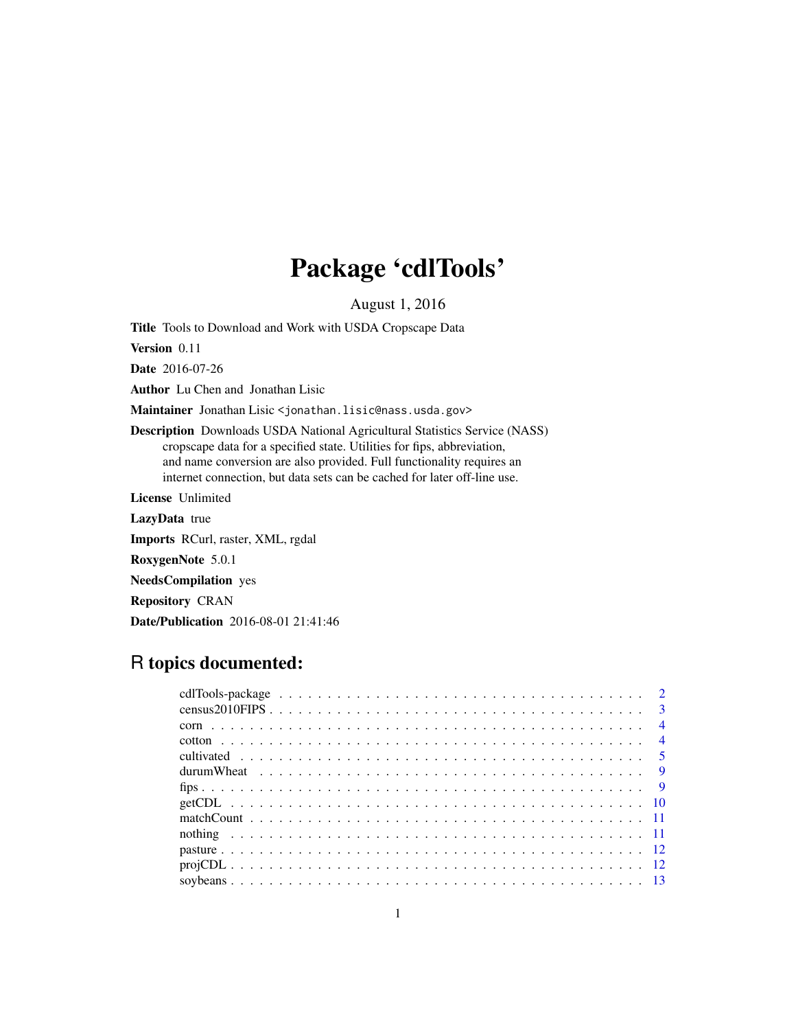# Package 'cdlTools'

August 1, 2016

Title Tools to Download and Work with USDA Cropscape Data

Version 0.11

Date 2016-07-26

Author Lu Chen and Jonathan Lisic

Maintainer Jonathan Lisic <jonathan.lisic@nass.usda.gov>

Description Downloads USDA National Agricultural Statistics Service (NASS) cropscape data for a specified state. Utilities for fips, abbreviation, and name conversion are also provided. Full functionality requires an internet connection, but data sets can be cached for later off-line use.

License Unlimited

LazyData true

Imports RCurl, raster, XML, rgdal

RoxygenNote 5.0.1

NeedsCompilation yes

Repository CRAN

Date/Publication 2016-08-01 21:41:46

# R topics documented: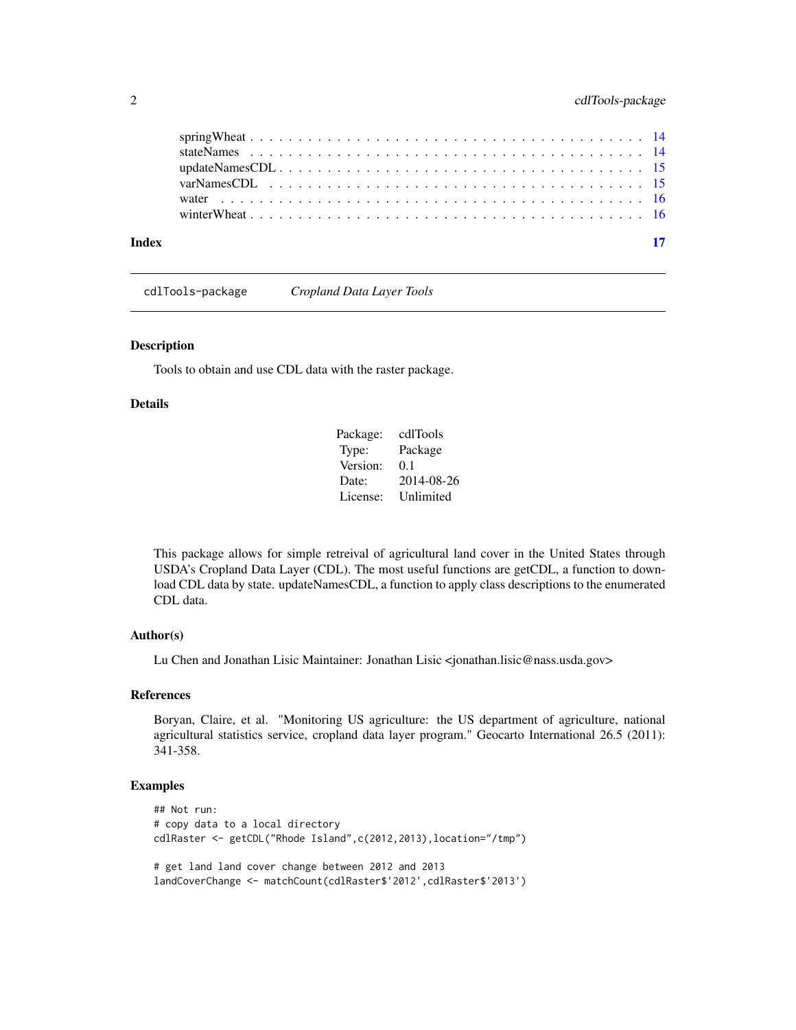<span id="page-1-0"></span>

cdlTools-package *Cropland Data Layer Tools*

# Description

Tools to obtain and use CDL data with the raster package.

#### Details

| Package: | cdlTools   |
|----------|------------|
| Type:    | Package    |
| Version: | 0.1        |
| Date:    | 2014-08-26 |
| License: | Unlimited  |

This package allows for simple retreival of agricultural land cover in the United States through USDA's Cropland Data Layer (CDL). The most useful functions are getCDL, a function to download CDL data by state. updateNamesCDL, a function to apply class descriptions to the enumerated CDL data.

# Author(s)

Lu Chen and Jonathan Lisic Maintainer: Jonathan Lisic <jonathan.lisic@nass.usda.gov>

# References

Boryan, Claire, et al. "Monitoring US agriculture: the US department of agriculture, national agricultural statistics service, cropland data layer program." Geocarto International 26.5 (2011): 341-358.

# Examples

```
## Not run:
# copy data to a local directory
cdlRaster <- getCDL("Rhode Island",c(2012,2013),location="/tmp")
# get land land cover change between 2012 and 2013
landCoverChange <- matchCount(cdlRaster$'2012',cdlRaster$'2013')
```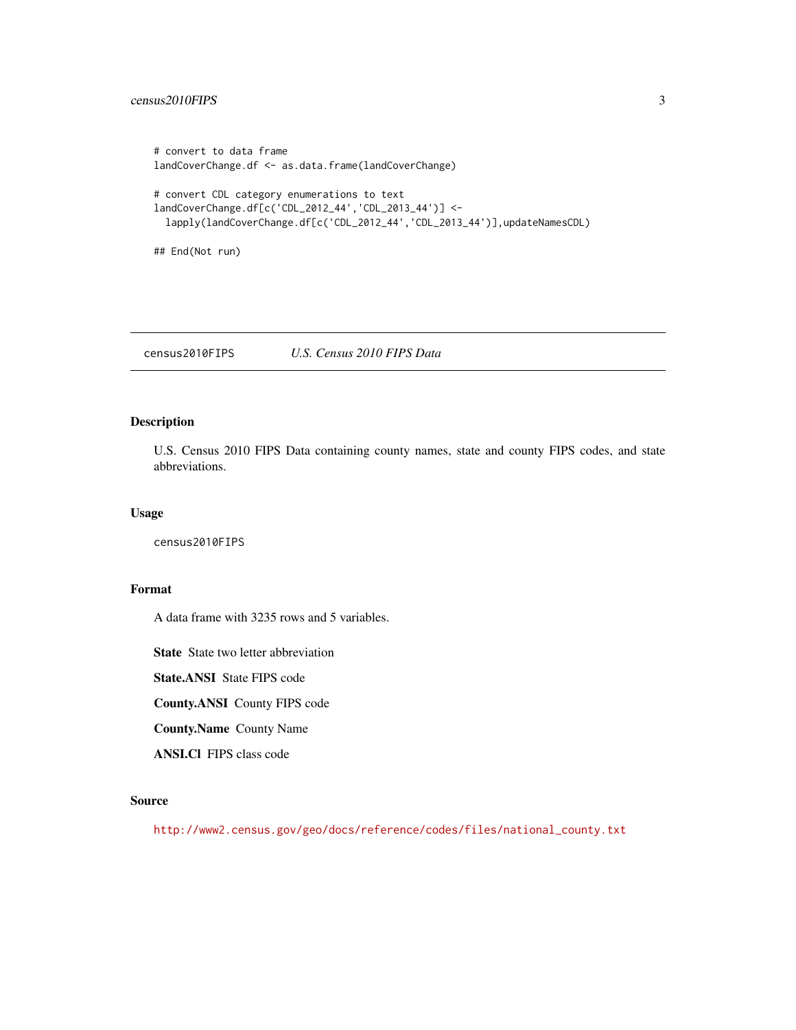# <span id="page-2-0"></span>census2010FIPS 3

```
# convert to data frame
landCoverChange.df <- as.data.frame(landCoverChange)
# convert CDL category enumerations to text
landCoverChange.df[c('CDL_2012_44','CDL_2013_44')] <-
  lapply(landCoverChange.df[c('CDL_2012_44','CDL_2013_44')],updateNamesCDL)
## End(Not run)
```
census2010FIPS *U.S. Census 2010 FIPS Data*

# Description

U.S. Census 2010 FIPS Data containing county names, state and county FIPS codes, and state abbreviations.

#### Usage

census2010FIPS

# Format

A data frame with 3235 rows and 5 variables.

State State two letter abbreviation

State.ANSI State FIPS code

County.ANSI County FIPS code

County.Name County Name

ANSI.Cl FIPS class code

# Source

[http://www2.census.gov/geo/docs/reference/codes/files/national\\_county.txt](http://www2.census.gov/geo/docs/reference/codes/files/national_county.txt)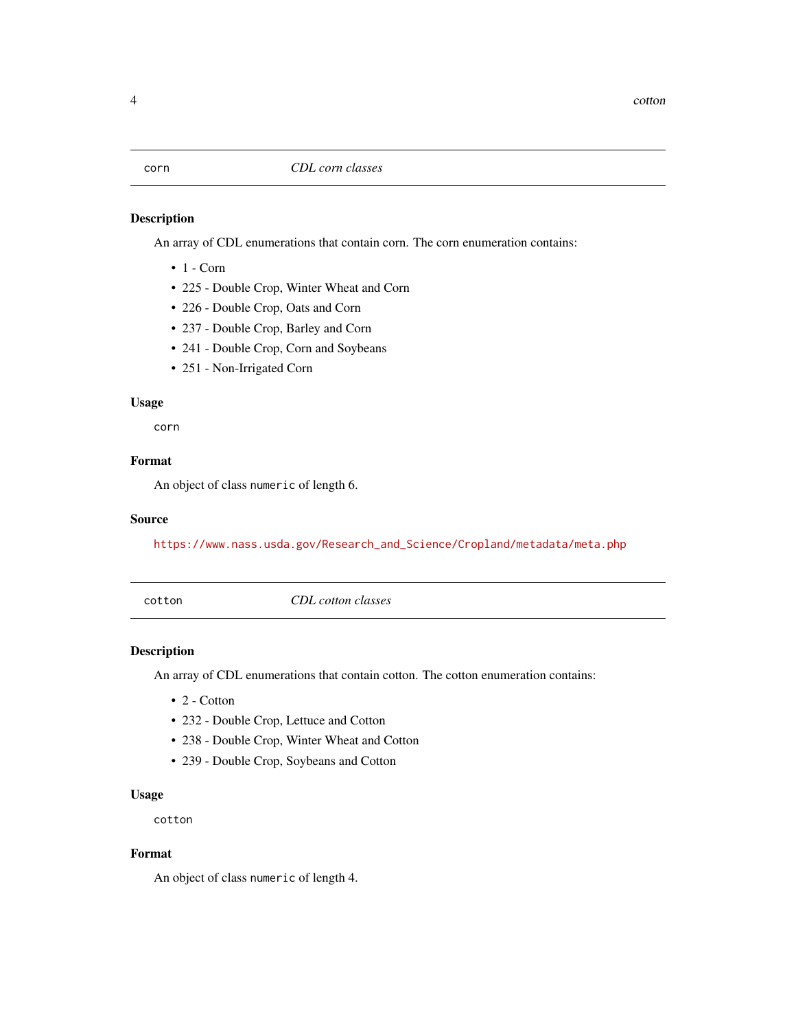<span id="page-3-0"></span>An array of CDL enumerations that contain corn. The corn enumeration contains:

- $\bullet$  1 Corn
- 225 Double Crop, Winter Wheat and Corn
- 226 Double Crop, Oats and Corn
- 237 Double Crop, Barley and Corn
- 241 Double Crop, Corn and Soybeans
- 251 Non-Irrigated Corn

# Usage

corn

# Format

An object of class numeric of length 6.

#### Source

[https://www.nass.usda.gov/Research\\_and\\_Science/Cropland/metadata/meta.php](https://www.nass.usda.gov/Research_and_Science/Cropland/metadata/meta.php)

cotton *CDL cotton classes*

# Description

An array of CDL enumerations that contain cotton. The cotton enumeration contains:

- 2 Cotton
- 232 Double Crop, Lettuce and Cotton
- 238 Double Crop, Winter Wheat and Cotton
- 239 Double Crop, Soybeans and Cotton

# Usage

cotton

### Format

An object of class numeric of length 4.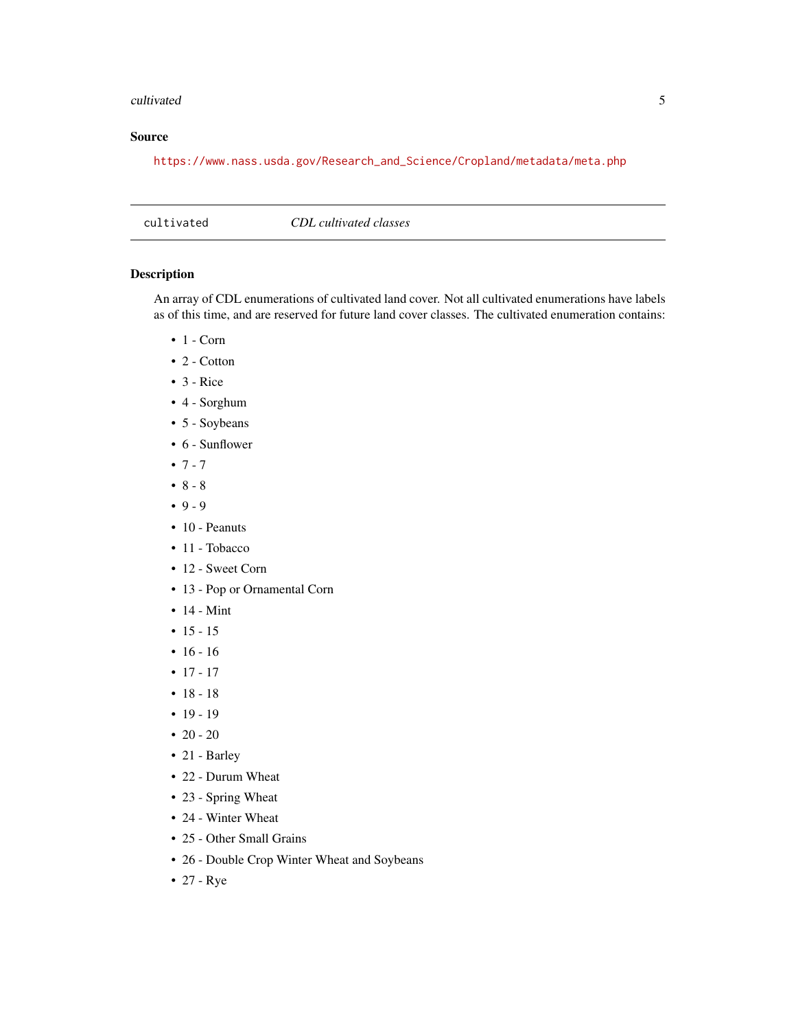#### <span id="page-4-0"></span>cultivated 5

# Source

[https://www.nass.usda.gov/Research\\_and\\_Science/Cropland/metadata/meta.php](https://www.nass.usda.gov/Research_and_Science/Cropland/metadata/meta.php)

cultivated *CDL cultivated classes*

## Description

An array of CDL enumerations of cultivated land cover. Not all cultivated enumerations have labels as of this time, and are reserved for future land cover classes. The cultivated enumeration contains:

- $\bullet$  1 Corn
- 2 Cotton
- $\bullet$  3 Rice
- 4 Sorghum
- 5 Soybeans
- 6 Sunflower
- $7 7$
- $8 8$
- $9 9$
- 10 Peanuts
- 11 Tobacco
- 12 Sweet Corn
- 13 Pop or Ornamental Corn
- 14 Mint
- $15 15$
- $16 16$
- $17 17$
- $18 18$
- $19 19$
- $20 20$
- 21 Barley
- 22 Durum Wheat
- 23 Spring Wheat
- 24 Winter Wheat
- 25 Other Small Grains
- 26 Double Crop Winter Wheat and Soybeans
- 27 Rye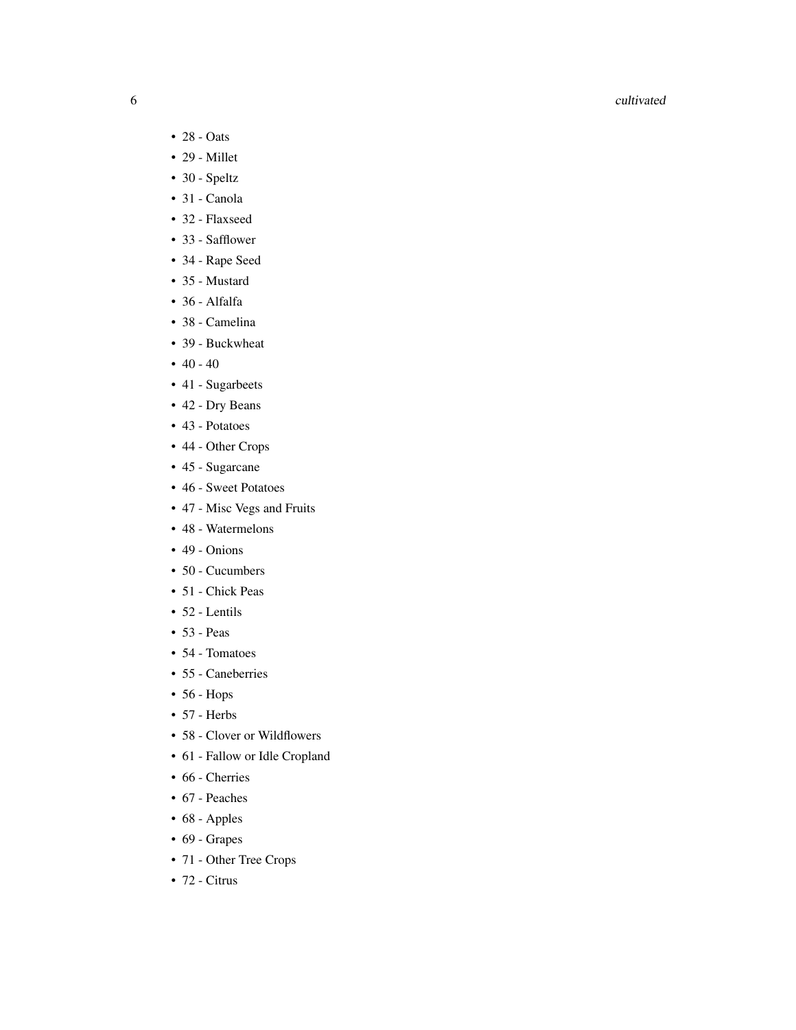#### 6 cultivated

- 28 Oats
- 29 Millet
- 30 Speltz
- 31 Canola
- 32 Flaxseed
- 33 Safflower
- 34 Rape Seed
- 35 Mustard
- 36 Alfalfa
- 38 Camelina
- 39 Buckwheat
- $40 40$
- 41 Sugarbeets
- 42 Dry Beans
- 43 Potatoes
- 44 Other Crops
- 45 Sugarcane
- 46 Sweet Potatoes
- 47 Misc Vegs and Fruits
- 48 Watermelons
- 49 Onions
- 50 Cucumbers
- 51 Chick Peas
- 52 Lentils
- 53 Peas
- 54 Tomatoes
- 55 Caneberries
- 56 Hops
- 57 Herbs
- 58 Clover or Wildflowers
- 61 Fallow or Idle Cropland
- 66 Cherries
- 67 Peaches
- 68 Apples
- 69 Grapes
- 71 Other Tree Crops
- 72 Citrus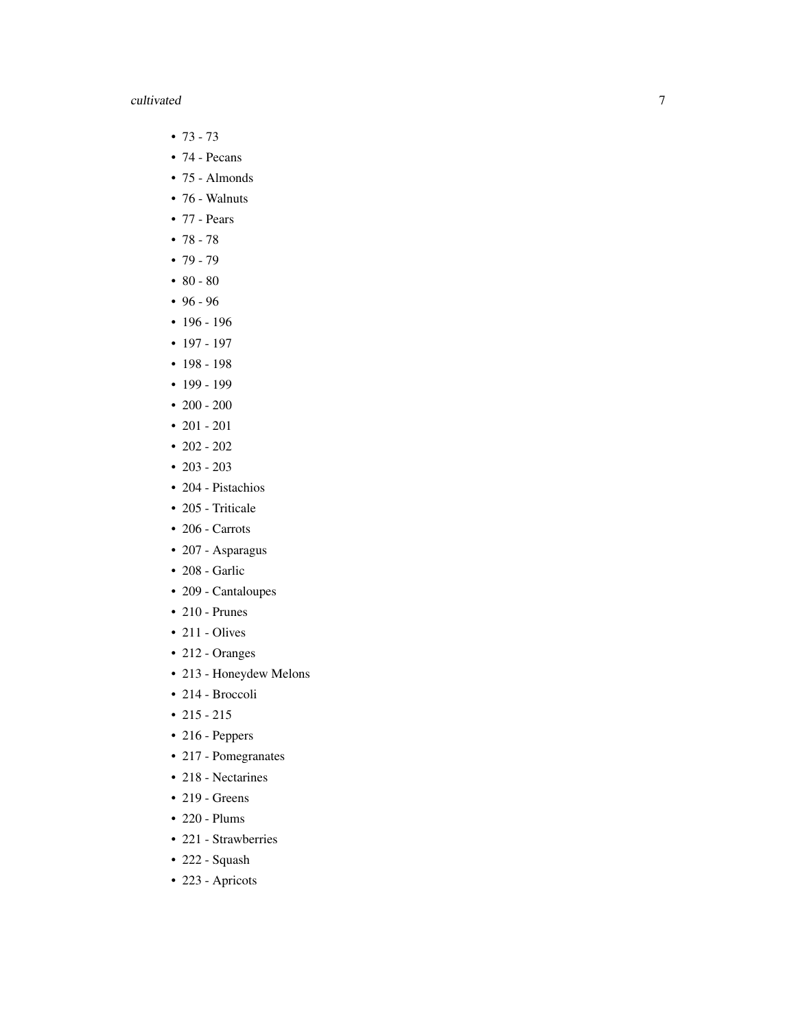# cultivated

- $73 73$
- 74 Pecans
- 75 Almonds
- 76 Walnuts
- 77 Pears
- $78 78$
- 79 79
- 80 80
- 96 96
- 196 196
- 197 197
- 198 198
- 199 199
- 200 200
- 201 201
- 202 202
- $203 203$
- 204 Pistachios
- 205 Triticale
- 206 Carrots
- 207 Asparagus
- 208 Garlic
- 209 Cantaloupes
- 210 Prunes
- $\cdot$  211 Olives
- 212 Oranges
- 213 Honeydew Melons
- 214 Broccoli
- 215 215
- 216 Peppers
- 217 Pomegranates
- 218 Nectarines
- 219 Greens
- 220 Plums
- 221 Strawberries
- 222 Squash
- 223 Apricots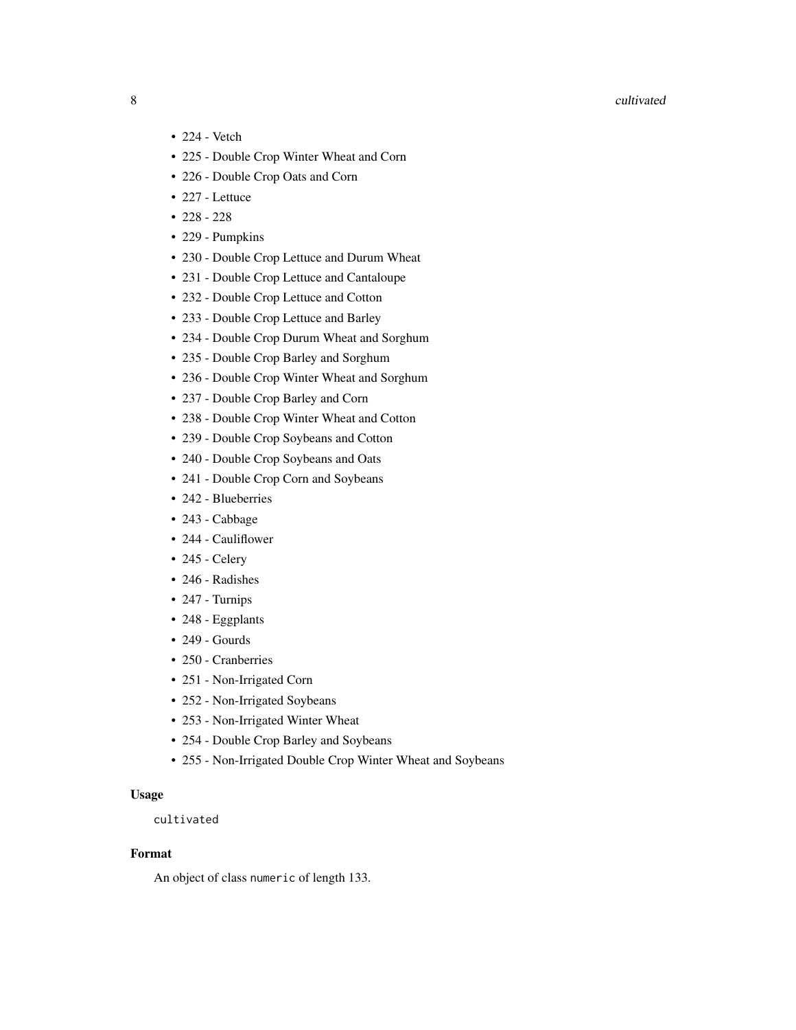#### 8 cultivated and the contract of the contract of the contract of the contract of the contract of the contract of the contract of the contract of the contract of the contract of the contract of the contract of the contract

- 224 Vetch
- 225 Double Crop Winter Wheat and Corn
- 226 Double Crop Oats and Corn
- 227 Lettuce
- $228 228$
- 229 Pumpkins
- 230 Double Crop Lettuce and Durum Wheat
- 231 Double Crop Lettuce and Cantaloupe
- 232 Double Crop Lettuce and Cotton
- 233 Double Crop Lettuce and Barley
- 234 Double Crop Durum Wheat and Sorghum
- 235 Double Crop Barley and Sorghum
- 236 Double Crop Winter Wheat and Sorghum
- 237 Double Crop Barley and Corn
- 238 Double Crop Winter Wheat and Cotton
- 239 Double Crop Soybeans and Cotton
- 240 Double Crop Soybeans and Oats
- 241 Double Crop Corn and Soybeans
- 242 Blueberries
- 243 Cabbage
- 244 Cauliflower
- 245 Celery
- 246 Radishes
- 247 Turnips
- 248 Eggplants
- 249 Gourds
- 250 Cranberries
- 251 Non-Irrigated Corn
- 252 Non-Irrigated Soybeans
- 253 Non-Irrigated Winter Wheat
- 254 Double Crop Barley and Soybeans
- 255 Non-Irrigated Double Crop Winter Wheat and Soybeans

# Usage

cultivated

### Format

An object of class numeric of length 133.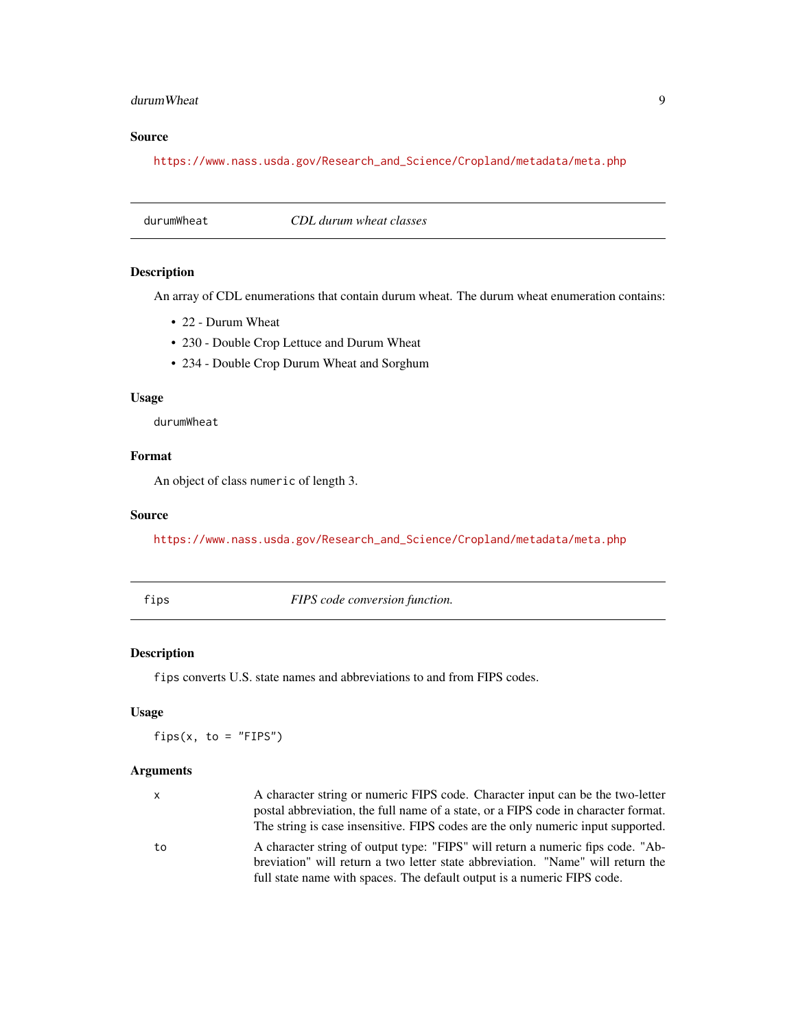#### <span id="page-8-0"></span>durumWheat 9

# Source

[https://www.nass.usda.gov/Research\\_and\\_Science/Cropland/metadata/meta.php](https://www.nass.usda.gov/Research_and_Science/Cropland/metadata/meta.php)

durumWheat *CDL durum wheat classes*

# Description

An array of CDL enumerations that contain durum wheat. The durum wheat enumeration contains:

- 22 Durum Wheat
- 230 Double Crop Lettuce and Durum Wheat
- 234 Double Crop Durum Wheat and Sorghum

# Usage

durumWheat

# Format

An object of class numeric of length 3.

#### Source

[https://www.nass.usda.gov/Research\\_and\\_Science/Cropland/metadata/meta.php](https://www.nass.usda.gov/Research_and_Science/Cropland/metadata/meta.php)

fips *FIPS code conversion function.*

# Description

fips converts U.S. state names and abbreviations to and from FIPS codes.

# Usage

 $fips(x, to = "FIPS")$ 

#### Arguments

| <b>X</b> | A character string or numeric FIPS code. Character input can be the two-letter<br>postal abbreviation, the full name of a state, or a FIPS code in character format.<br>The string is case insensitive. FIPS codes are the only numeric input supported. |
|----------|----------------------------------------------------------------------------------------------------------------------------------------------------------------------------------------------------------------------------------------------------------|
| to       | A character string of output type: "FIPS" will return a numeric fips code. "Ab-<br>breviation" will return a two letter state abbreviation. "Name" will return the<br>full state name with spaces. The default output is a numeric FIPS code.            |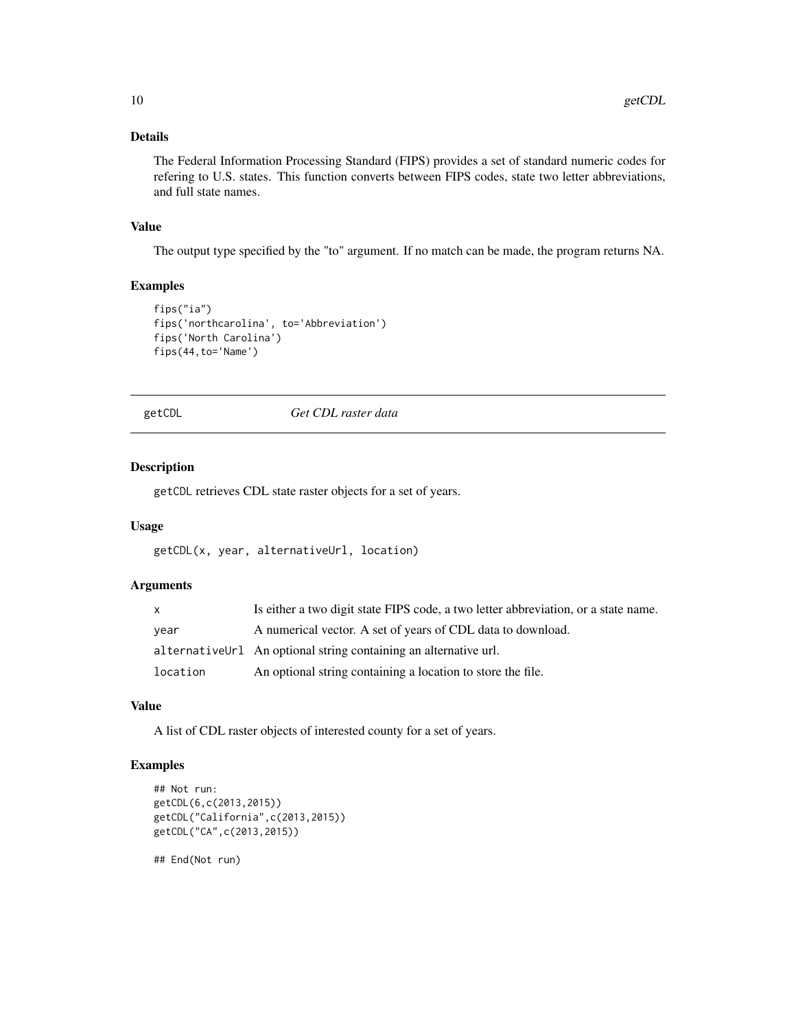# <span id="page-9-0"></span>Details

The Federal Information Processing Standard (FIPS) provides a set of standard numeric codes for refering to U.S. states. This function converts between FIPS codes, state two letter abbreviations, and full state names.

#### Value

The output type specified by the "to" argument. If no match can be made, the program returns NA.

# Examples

```
fips("ia")
fips('northcarolina', to='Abbreviation')
fips('North Carolina')
fips(44,to='Name')
```
getCDL *Get CDL raster data*

#### Description

getCDL retrieves CDL state raster objects for a set of years.

#### Usage

```
getCDL(x, year, alternativeUrl, location)
```
# Arguments

| $\mathsf{x}$ | Is either a two digit state FIPS code, a two letter abbreviation, or a state name. |
|--------------|------------------------------------------------------------------------------------|
| year         | A numerical vector. A set of years of CDL data to download.                        |
|              | alternativeUrl An optional string containing an alternative url.                   |
| location     | An optional string containing a location to store the file.                        |

#### Value

A list of CDL raster objects of interested county for a set of years.

# Examples

```
## Not run:
getCDL(6,c(2013,2015))
getCDL("California",c(2013,2015))
getCDL("CA",c(2013,2015))
```
## End(Not run)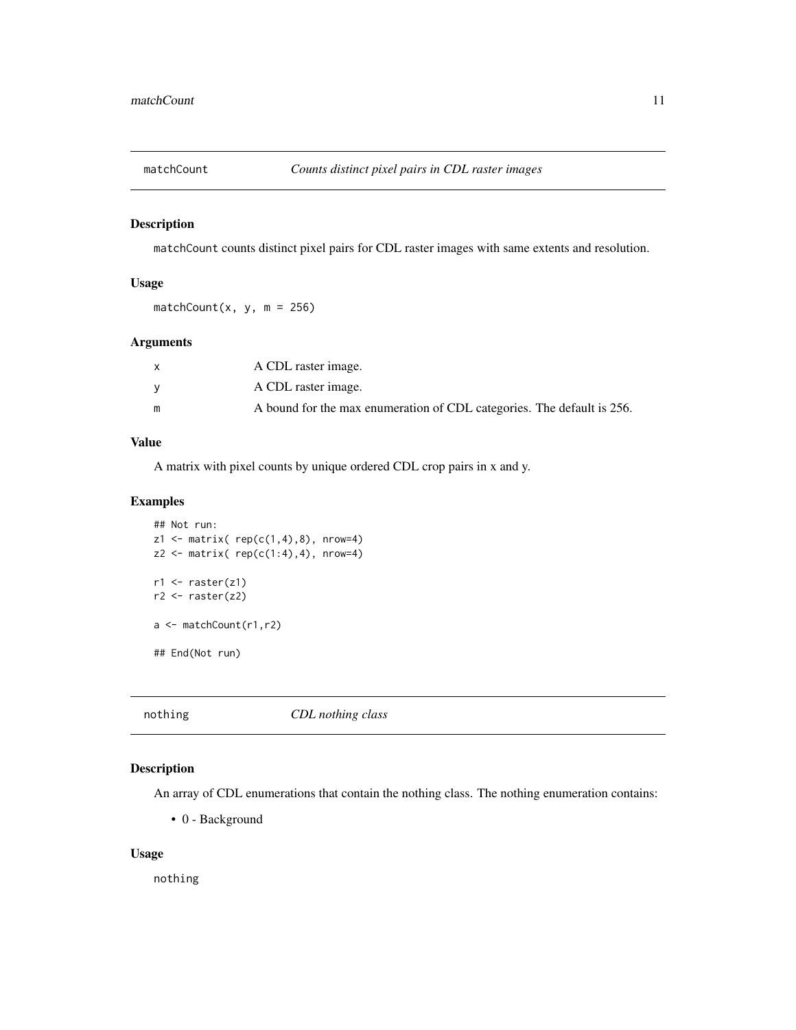<span id="page-10-0"></span>

matchCount counts distinct pixel pairs for CDL raster images with same extents and resolution.

# Usage

 $matchCount(x, y, m = 256)$ 

# Arguments

| A CDL raster image.                                                    |
|------------------------------------------------------------------------|
| A CDL raster image.                                                    |
| A bound for the max enumeration of CDL categories. The default is 256. |

### Value

A matrix with pixel counts by unique ordered CDL crop pairs in x and y.

# Examples

```
## Not run:
z1 <- matrix( rep(c(1,4),8), nrow=4)
z2 \le - matrix( rep(c(1:4), 4), nrow=4)
r1 \leftarrow \text{raster}(z1)r2 \leftarrow \text{raster}(z2)a <- matchCount(r1,r2)
## End(Not run)
```
nothing *CDL nothing class*

# Description

An array of CDL enumerations that contain the nothing class. The nothing enumeration contains:

• 0 - Background

#### Usage

nothing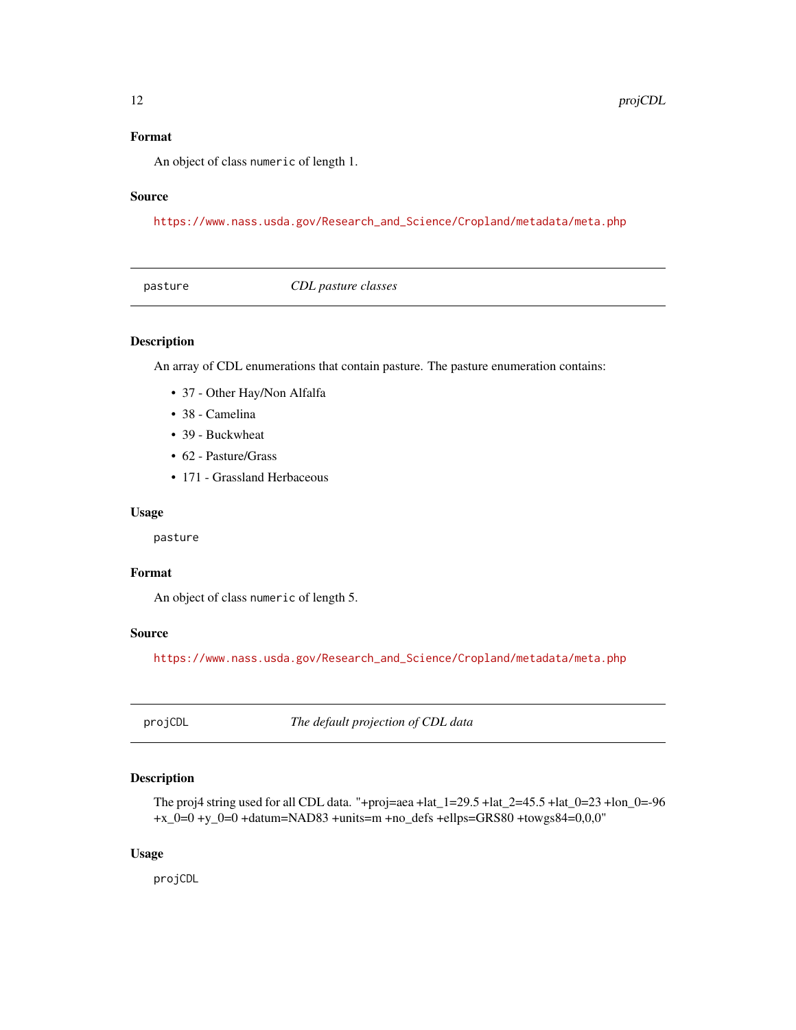# <span id="page-11-0"></span>Format

An object of class numeric of length 1.

# Source

[https://www.nass.usda.gov/Research\\_and\\_Science/Cropland/metadata/meta.php](https://www.nass.usda.gov/Research_and_Science/Cropland/metadata/meta.php)

| pasture | CDL pasture classes |  |
|---------|---------------------|--|
|         |                     |  |

# Description

An array of CDL enumerations that contain pasture. The pasture enumeration contains:

- 37 Other Hay/Non Alfalfa
- 38 Camelina
- 39 Buckwheat
- 62 Pasture/Grass
- 171 Grassland Herbaceous

#### Usage

pasture

# Format

An object of class numeric of length 5.

# Source

[https://www.nass.usda.gov/Research\\_and\\_Science/Cropland/metadata/meta.php](https://www.nass.usda.gov/Research_and_Science/Cropland/metadata/meta.php)

projCDL *The default projection of CDL data*

# Description

The proj4 string used for all CDL data. "+proj=aea +lat\_1=29.5 +lat\_2=45.5 +lat\_0=23 +lon\_0=-96 +x\_0=0 +y\_0=0 +datum=NAD83 +units=m +no\_defs +ellps=GRS80 +towgs84=0,0,0"

#### Usage

projCDL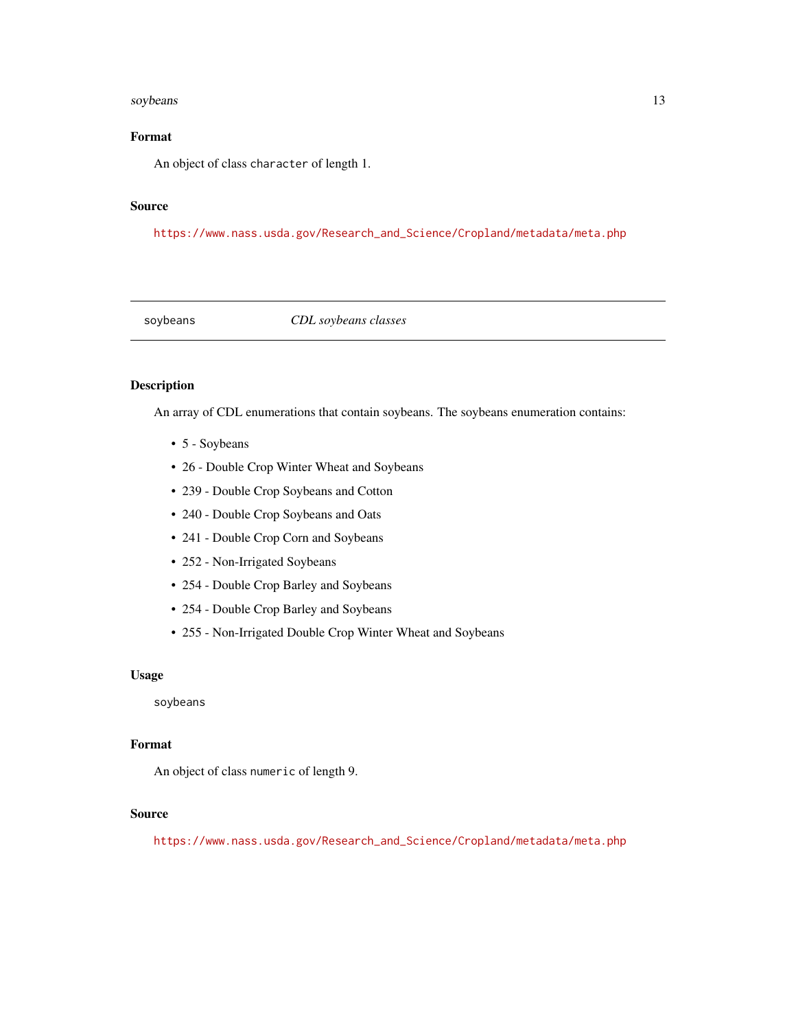#### <span id="page-12-0"></span>soybeans and the state of the state of the state of the state of the state of the state of the state of the state of the state of the state of the state of the state of the state of the state of the state of the state of t

# Format

An object of class character of length 1.

## Source

[https://www.nass.usda.gov/Research\\_and\\_Science/Cropland/metadata/meta.php](https://www.nass.usda.gov/Research_and_Science/Cropland/metadata/meta.php)

soybeans *CDL soybeans classes*

# Description

An array of CDL enumerations that contain soybeans. The soybeans enumeration contains:

- 5 Soybeans
- 26 Double Crop Winter Wheat and Soybeans
- 239 Double Crop Soybeans and Cotton
- 240 Double Crop Soybeans and Oats
- 241 Double Crop Corn and Soybeans
- 252 Non-Irrigated Soybeans
- 254 Double Crop Barley and Soybeans
- 254 Double Crop Barley and Soybeans
- 255 Non-Irrigated Double Crop Winter Wheat and Soybeans

#### Usage

soybeans

# Format

An object of class numeric of length 9.

# Source

[https://www.nass.usda.gov/Research\\_and\\_Science/Cropland/metadata/meta.php](https://www.nass.usda.gov/Research_and_Science/Cropland/metadata/meta.php)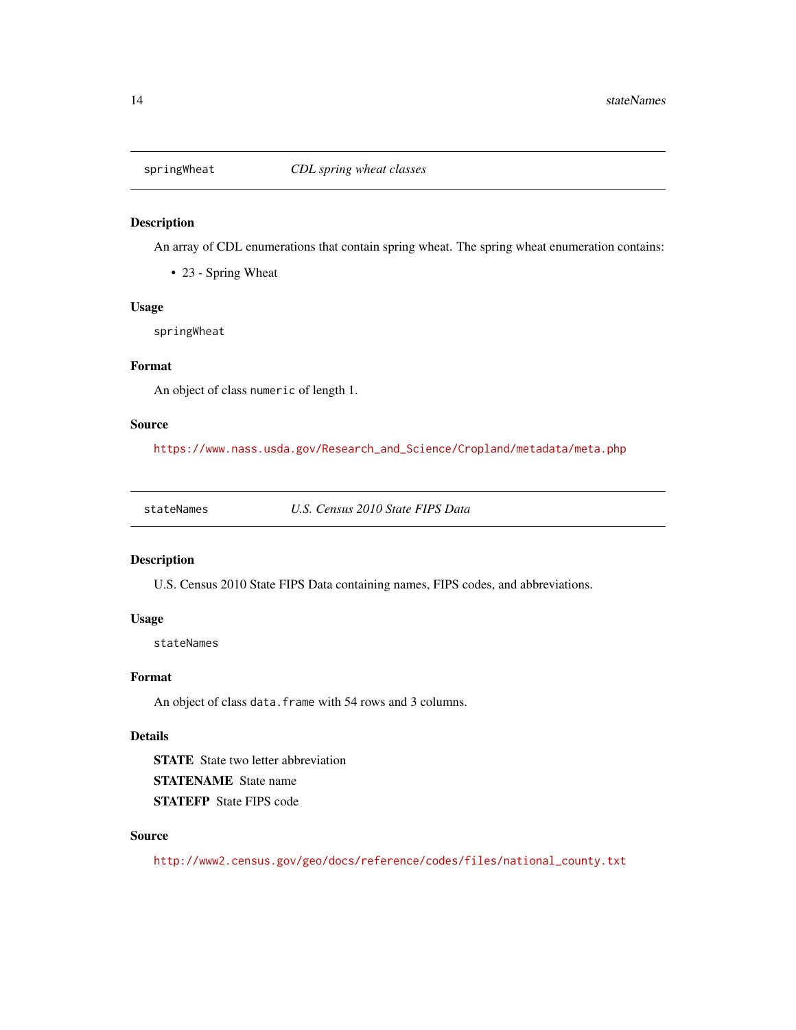<span id="page-13-0"></span>

An array of CDL enumerations that contain spring wheat. The spring wheat enumeration contains:

• 23 - Spring Wheat

# Usage

springWheat

# Format

An object of class numeric of length 1.

# Source

[https://www.nass.usda.gov/Research\\_and\\_Science/Cropland/metadata/meta.php](https://www.nass.usda.gov/Research_and_Science/Cropland/metadata/meta.php)

stateNames *U.S. Census 2010 State FIPS Data*

#### Description

U.S. Census 2010 State FIPS Data containing names, FIPS codes, and abbreviations.

#### Usage

stateNames

## Format

An object of class data. frame with 54 rows and 3 columns.

# Details

STATE State two letter abbreviation STATENAME State name STATEFP State FIPS code

# Source

[http://www2.census.gov/geo/docs/reference/codes/files/national\\_county.txt](http://www2.census.gov/geo/docs/reference/codes/files/national_county.txt)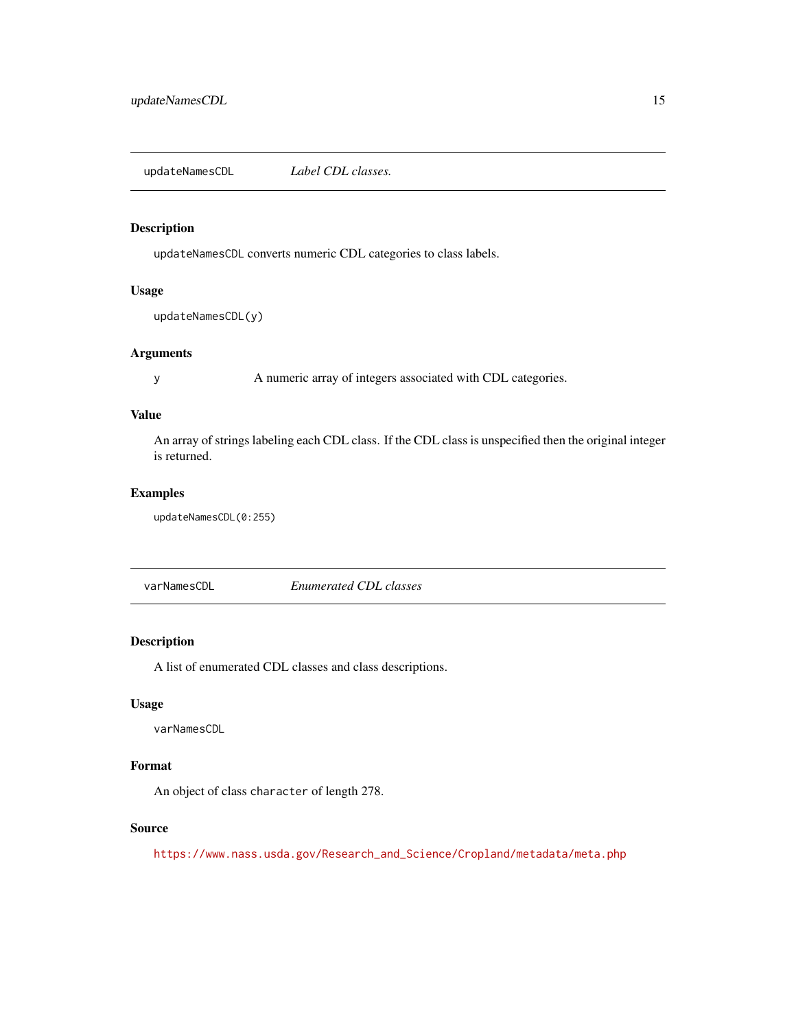<span id="page-14-0"></span>updateNamesCDL *Label CDL classes.*

# Description

updateNamesCDL converts numeric CDL categories to class labels.

# Usage

```
updateNamesCDL(y)
```
# Arguments

y A numeric array of integers associated with CDL categories.

# Value

An array of strings labeling each CDL class. If the CDL class is unspecified then the original integer is returned.

# Examples

updateNamesCDL(0:255)

varNamesCDL *Enumerated CDL classes*

# Description

A list of enumerated CDL classes and class descriptions.

# Usage

varNamesCDL

# Format

An object of class character of length 278.

# Source

[https://www.nass.usda.gov/Research\\_and\\_Science/Cropland/metadata/meta.php](https://www.nass.usda.gov/Research_and_Science/Cropland/metadata/meta.php)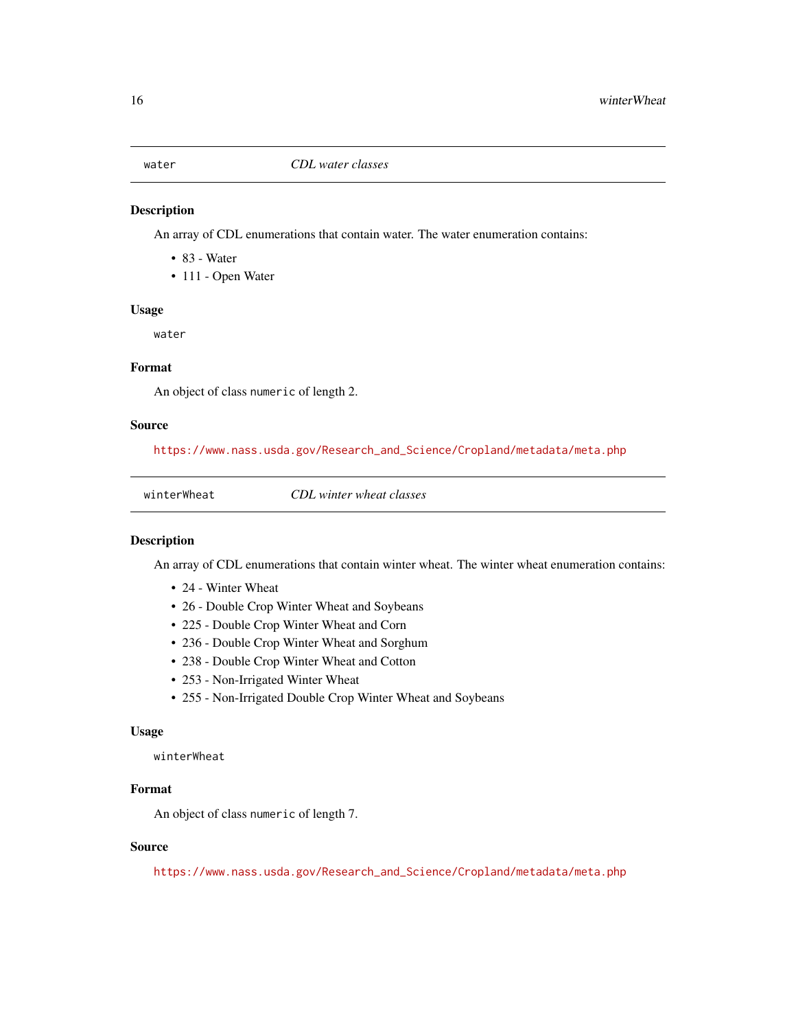<span id="page-15-0"></span>

An array of CDL enumerations that contain water. The water enumeration contains:

- 83 Water
- 111 Open Water

#### Usage

water

#### Format

An object of class numeric of length 2.

#### Source

[https://www.nass.usda.gov/Research\\_and\\_Science/Cropland/metadata/meta.php](https://www.nass.usda.gov/Research_and_Science/Cropland/metadata/meta.php)

winterWheat *CDL winter wheat classes*

#### Description

An array of CDL enumerations that contain winter wheat. The winter wheat enumeration contains:

- 24 Winter Wheat
- 26 Double Crop Winter Wheat and Soybeans
- 225 Double Crop Winter Wheat and Corn
- 236 Double Crop Winter Wheat and Sorghum
- 238 Double Crop Winter Wheat and Cotton
- 253 Non-Irrigated Winter Wheat
- 255 Non-Irrigated Double Crop Winter Wheat and Soybeans

#### Usage

winterWheat

#### Format

An object of class numeric of length 7.

#### Source

[https://www.nass.usda.gov/Research\\_and\\_Science/Cropland/metadata/meta.php](https://www.nass.usda.gov/Research_and_Science/Cropland/metadata/meta.php)